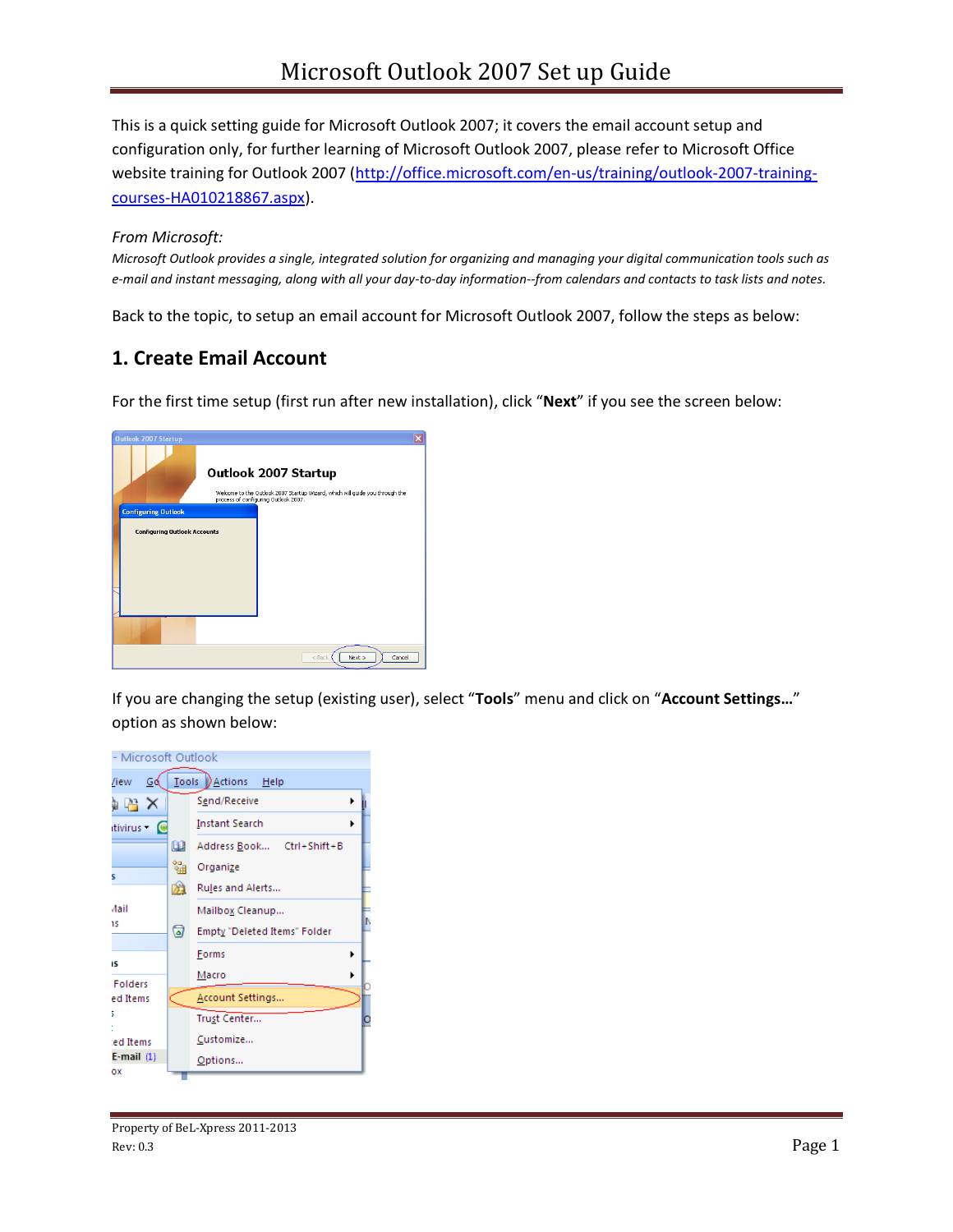This is a quick setting guide for Microsoft Outlook 2007; it covers the email account setup and configuration only, for further learning of Microsoft Outlook 2007, please refer to Microsoft Office website training for Outlook 2007 [\(http://office.microsoft.com/en-us/training/outlook-2007-training](http://office.microsoft.com/en-us/training/outlook-2007-training-courses-HA010218867.aspx)[courses-HA010218867.aspx\)](http://office.microsoft.com/en-us/training/outlook-2007-training-courses-HA010218867.aspx).

#### *From Microsoft:*

*Microsoft Outlook provides a single, integrated solution for organizing and managing your digital communication tools such as e-mail and instant messaging, along with all your day-to-day information--from calendars and contacts to task lists and notes.*

Back to the topic, to setup an email account for Microsoft Outlook 2007, follow the steps as below:

## **1. Create Email Account**

For the first time setup (first run after new installation), click "**Next**" if you see the screen below:



If you are changing the setup (existing user), select "**Tools**" menu and click on "**Account Settings…**" option as shown below:

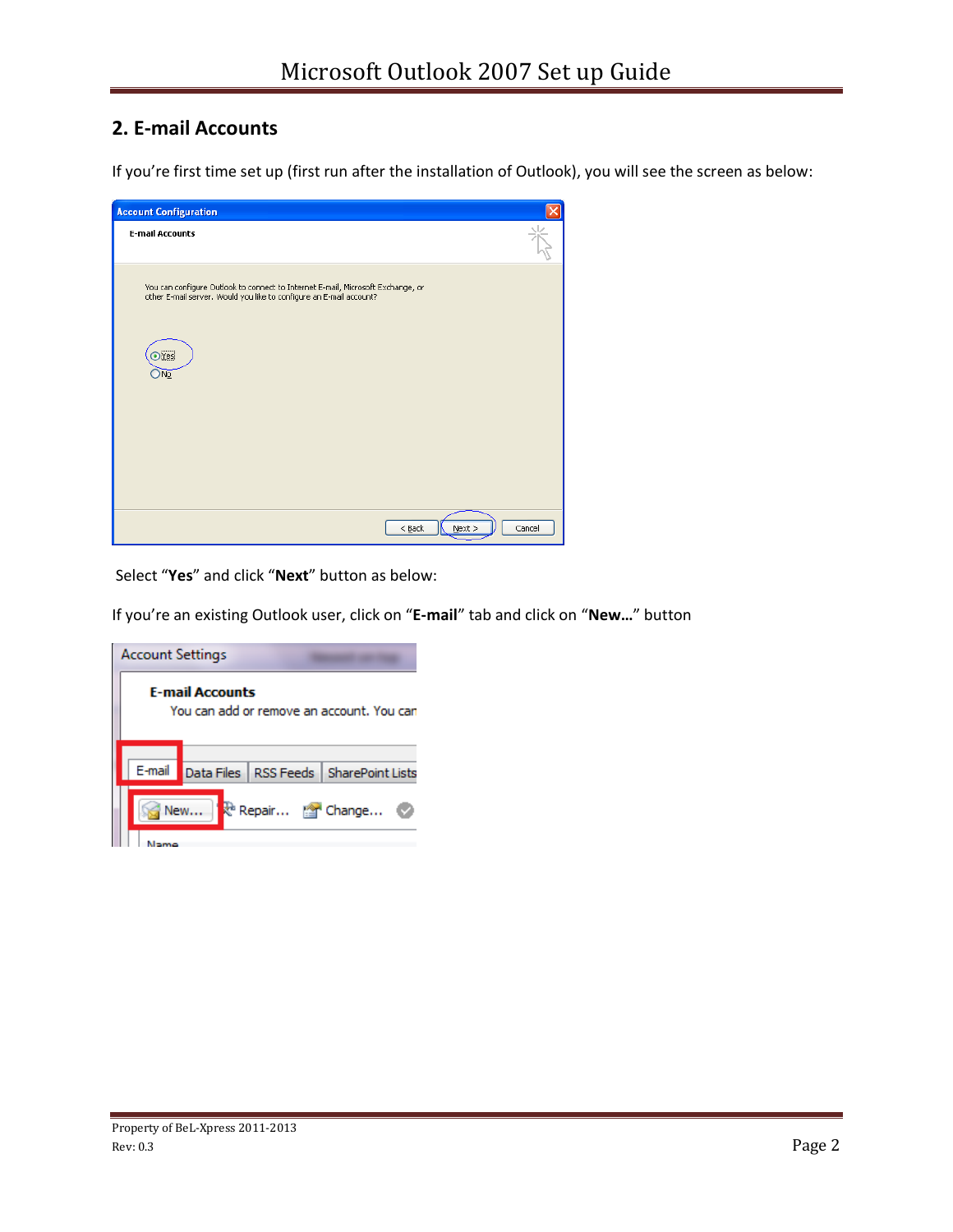# **2. E-mail Accounts**

If you're first time set up (first run after the installation of Outlook), you will see the screen as below:

| <b>Account Configuration</b>                                                                                                                           |                                 |
|--------------------------------------------------------------------------------------------------------------------------------------------------------|---------------------------------|
| <b>E-mail Accounts</b>                                                                                                                                 |                                 |
| You can configure Outlook to connect to Internet E-mail, Microsoft Exchange, or<br>other E-mail server. Would you like to configure an E-mail account? |                                 |
| $\odot$ Yes<br>No                                                                                                                                      |                                 |
|                                                                                                                                                        |                                 |
|                                                                                                                                                        |                                 |
|                                                                                                                                                        | Cancel<br>$<$ Back<br>$M$ ext > |

Select "**Yes**" and click "**Next**" button as below:

If you're an existing Outlook user, click on "**E-mail**" tab and click on "**New…**" button

|                                                                     | <b>Account Settings</b>         |  |  |                                              |
|---------------------------------------------------------------------|---------------------------------|--|--|----------------------------------------------|
| <b>E-mail Accounts</b><br>You can add or remove an account. You can |                                 |  |  |                                              |
|                                                                     |                                 |  |  | E-mail Data Files RSS Feeds SharePoint Lists |
|                                                                     | Repair <b>The Change</b><br>New |  |  |                                              |
|                                                                     |                                 |  |  |                                              |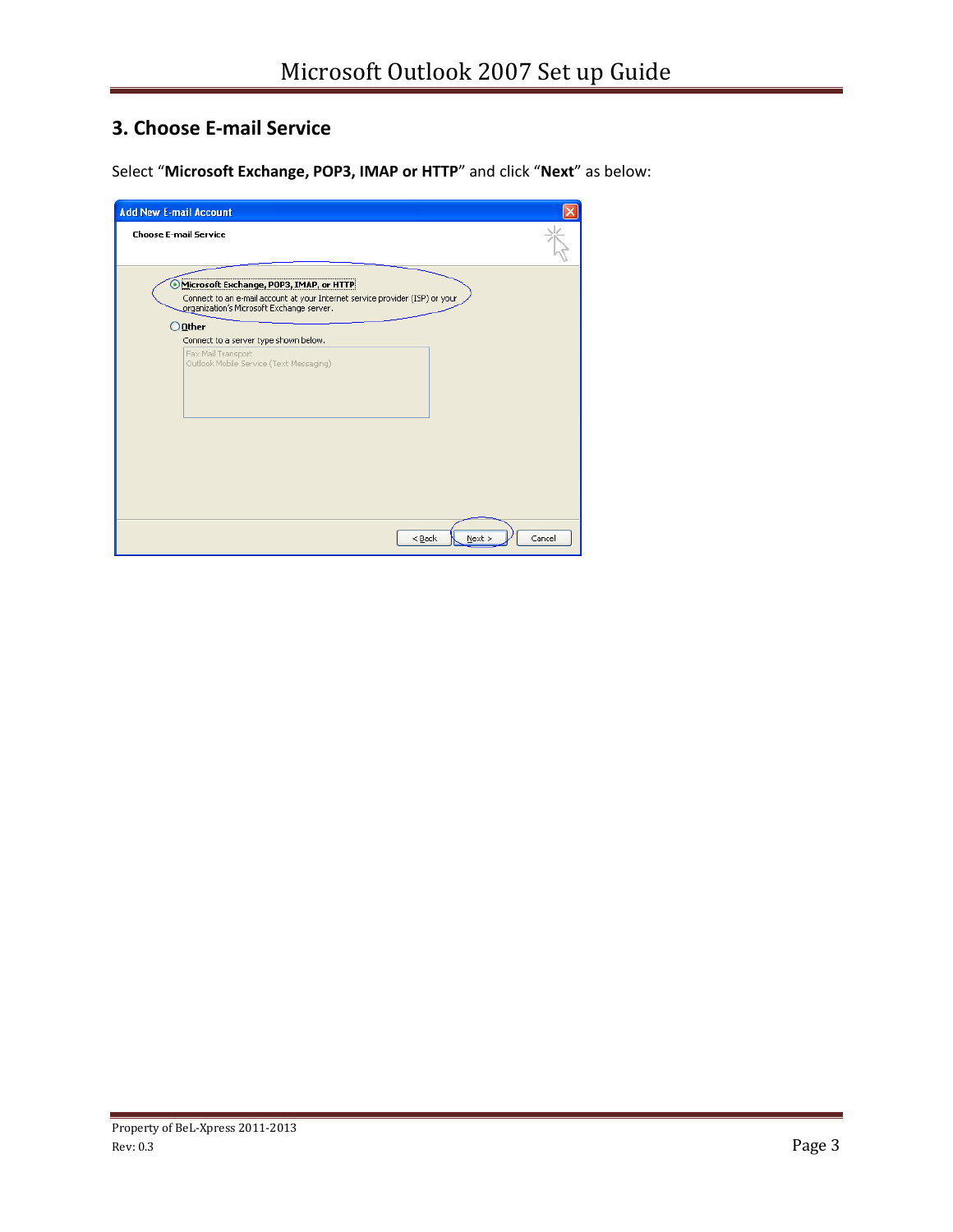# **3. Choose E-mail Service**

Select "**Microsoft Exchange, POP3, IMAP or HTTP**" and click "**Next**" as below:

| <b>Add New E-mail Account</b>                                                                                                                                        |        |
|----------------------------------------------------------------------------------------------------------------------------------------------------------------------|--------|
| <b>Choose E-mail Service</b>                                                                                                                                         |        |
| Microsoft Exchange, POP3, IMAP, or HTTP<br>Connect to an e-mail account at your Internet service provider (ISP) or your<br>organization's Microsoft Exchange server. |        |
| $\bigcirc$ Other<br>Connect to a server type shown below.                                                                                                            |        |
| Fax Mail Transport<br>Outlook Mobile Service (Text Messaging)                                                                                                        |        |
|                                                                                                                                                                      |        |
| $<$ Back<br>Next                                                                                                                                                     | Cancel |

 $\sim$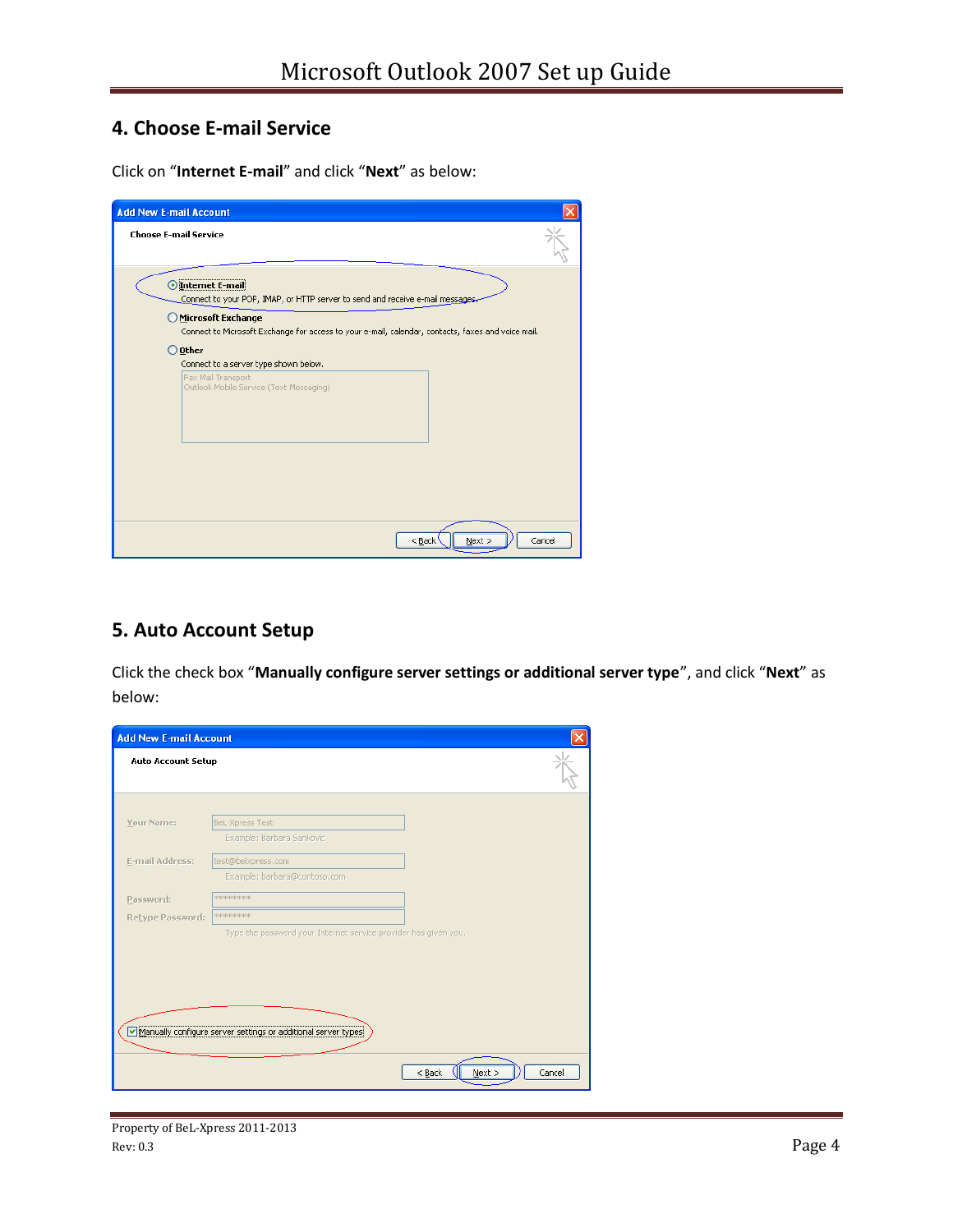# **4. Choose E-mail Service**

Click on "**Internet E-mail**" and click "**Next**" as below:

| <b>Add New E-mail Account</b>                                                                                            |  |
|--------------------------------------------------------------------------------------------------------------------------|--|
| <b>Choose E-mail Service</b>                                                                                             |  |
| Internet E-mail<br>Connect to your POP, IMAP, or HTTP server to send and receive e-mail messages.                        |  |
| Microsoft Exchange<br>Connect to Microsoft Exchange for access to your e-mail, calendar, contacts, faxes and voice mail. |  |
| Other<br>Connect to a server type shown below.                                                                           |  |
| Fax Mail Transport<br>Outlook Mobile Service (Text Messaging)                                                            |  |
|                                                                                                                          |  |
|                                                                                                                          |  |
| $N$ ext ><br>$<$ Back<br>Cancel                                                                                          |  |

## **5. Auto Account Setup**

Click the check box "**Manually configure server settings or additional server type**", and click "**Next**" as below:

| <b>Add New E-mail Account</b> |                                                                 |                            |
|-------------------------------|-----------------------------------------------------------------|----------------------------|
| <b>Auto Account Setup</b>     |                                                                 |                            |
|                               |                                                                 |                            |
| Your Name:                    | BeL-Xpress Test<br>Example: Barbara Sankovic                    |                            |
| E-mail Address:               | test@belxpress.com                                              |                            |
|                               | Example: barbara@contoso.com                                    |                            |
| Password:                     | *******                                                         |                            |
| Retype Password:              | <b>RORSKSRSRSRSR</b>                                            |                            |
|                               | Type the password your Internet service provider has given you. |                            |
|                               |                                                                 |                            |
|                               |                                                                 |                            |
|                               |                                                                 |                            |
|                               |                                                                 |                            |
|                               | √Manually configure server settings or additional server types  |                            |
|                               |                                                                 |                            |
|                               |                                                                 | $<$ Back<br>Next<br>Cancel |
|                               |                                                                 |                            |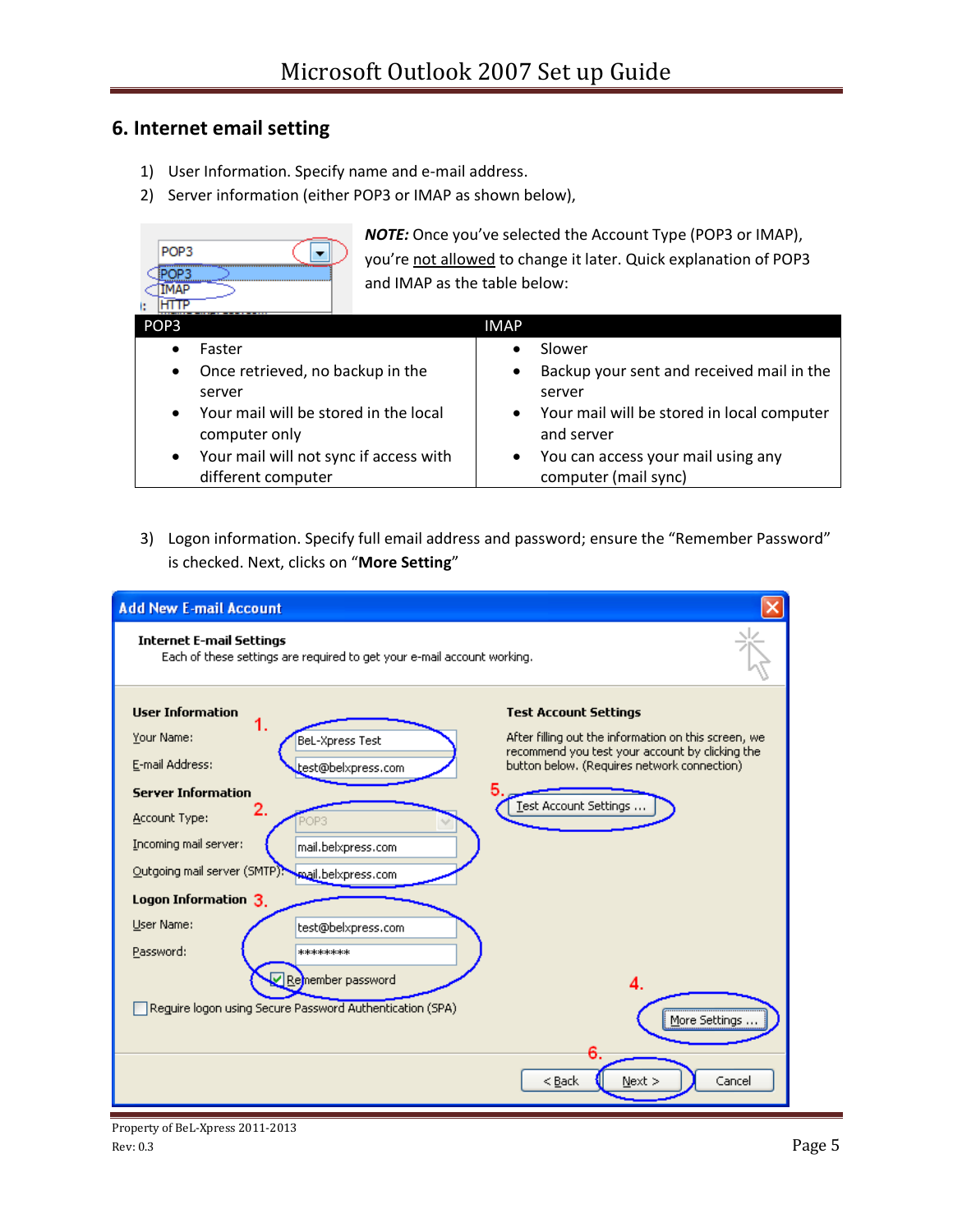## **6. Internet email setting**

- 1) User Information. Specify name and e-mail address.
- 2) Server information (either POP3 or IMAP as shown below),

| POP <sub>3</sub>                       | <b>NOTE:</b> Once you've selected the Account Type (POP3 or IMAP), |  |  |
|----------------------------------------|--------------------------------------------------------------------|--|--|
| OP3                                    | you're not allowed to change it later. Quick explanation of POP3   |  |  |
| МАР                                    | and IMAP as the table below:                                       |  |  |
| POP <sub>3</sub>                       | <b>IMAP</b>                                                        |  |  |
| Faster                                 | Slower                                                             |  |  |
| Once retrieved, no backup in the       | Backup your sent and received mail in the                          |  |  |
| ٠                                      | $\bullet$                                                          |  |  |
| server                                 | server                                                             |  |  |
| Your mail will be stored in the local  | Your mail will be stored in local computer                         |  |  |
| $\bullet$                              | $\bullet$                                                          |  |  |
| computer only                          | and server                                                         |  |  |
| Your mail will not sync if access with | You can access your mail using any                                 |  |  |
| $\bullet$                              | $\bullet$                                                          |  |  |
| different computer                     | computer (mail sync)                                               |  |  |

3) Logon information. Specify full email address and password; ensure the "Remember Password" is checked. Next, clicks on "**More Setting**"

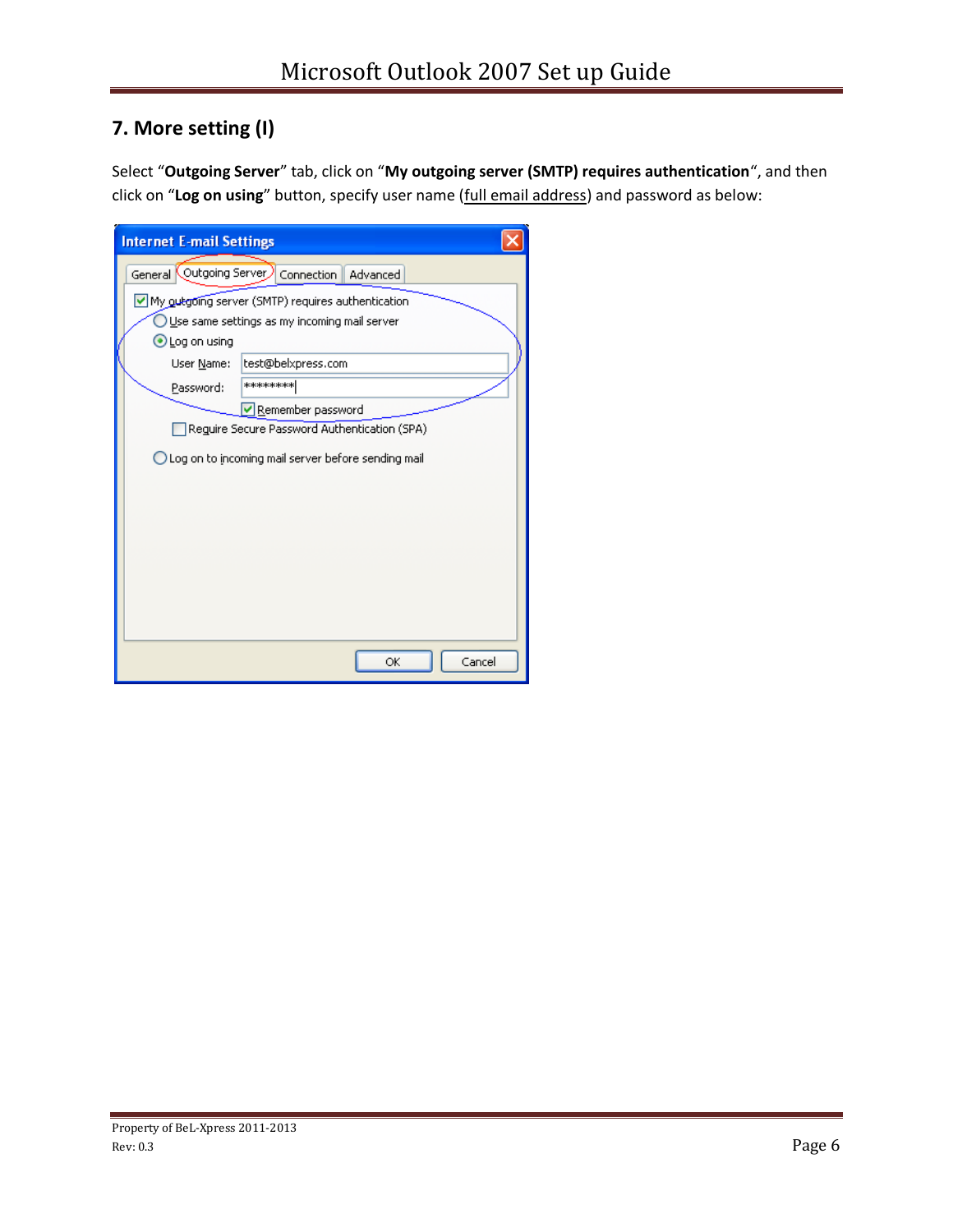# **7. More setting (I)**

Select "**Outgoing Server**" tab, click on "**My outgoing server (SMTP) requires authentication**", and then click on "**Log on using**" button, specify user name (full email address) and password as below:

| <b>Internet E-mail Settings</b>                      |                                                                                                   |  |
|------------------------------------------------------|---------------------------------------------------------------------------------------------------|--|
| General Outgoing Server Connection                   | Advanced                                                                                          |  |
|                                                      | My outgoing server (SMTP) requires authentication<br>Use same settings as my incoming mail server |  |
| $\bigcirc$ Log on using<br>User Name:                | test@belxpress.com                                                                                |  |
| Password:                                            | ********                                                                                          |  |
|                                                      | Remember password<br>Reguire Secure Password Authentication (SPA)                                 |  |
| ◯ Log on to incoming mail server before sending mail |                                                                                                   |  |
|                                                      |                                                                                                   |  |
|                                                      |                                                                                                   |  |
|                                                      |                                                                                                   |  |
|                                                      |                                                                                                   |  |
|                                                      |                                                                                                   |  |
|                                                      | Cancel<br>ОK                                                                                      |  |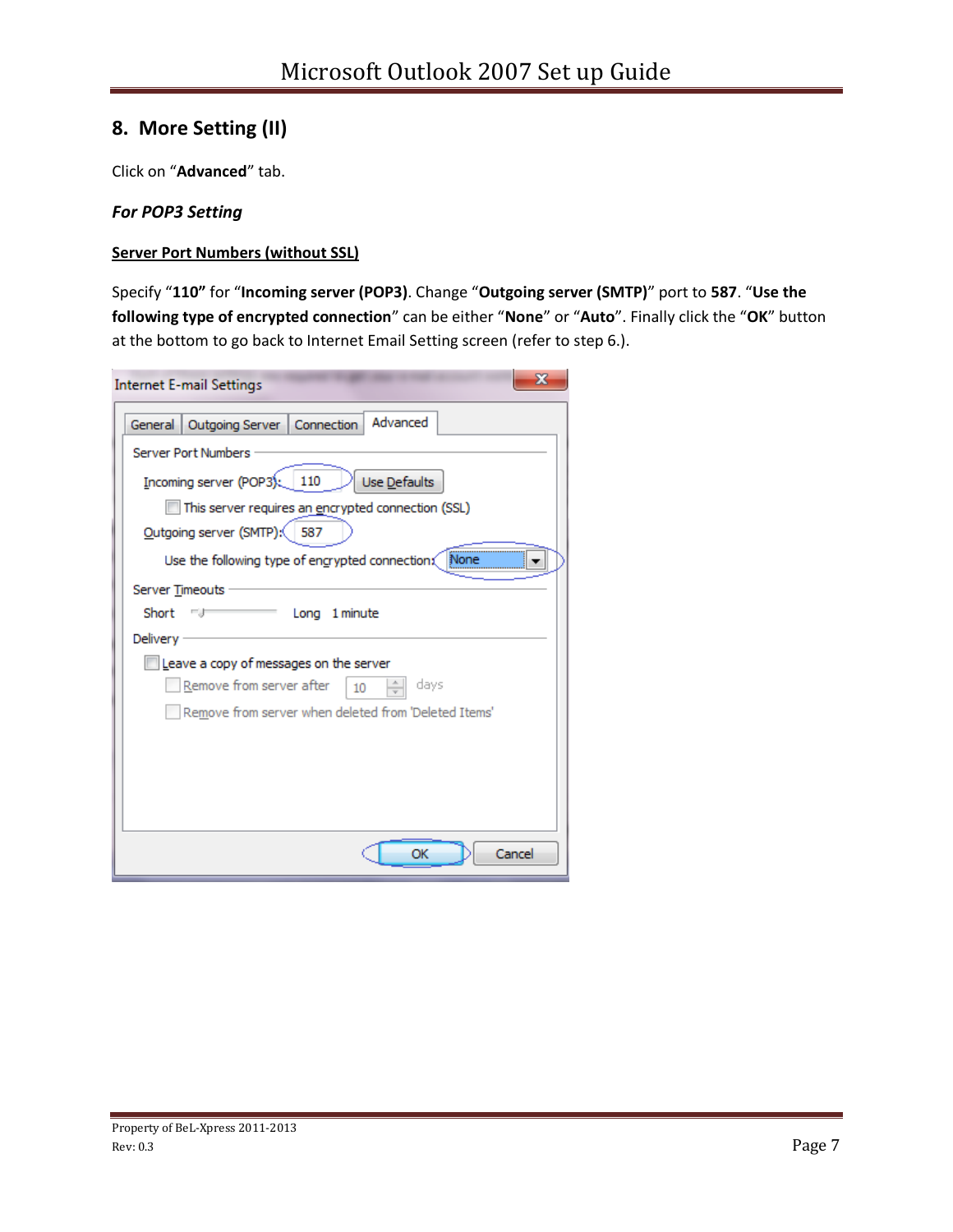## **8. More Setting (II)**

Click on "**Advanced**" tab.

## *For POP3 Setting*

### **Server Port Numbers (without SSL)**

Specify "**110"** for "**Incoming server (POP3)**. Change "**Outgoing server (SMTP)**" port to **587**. "**Use the following type of encrypted connection**" can be either "**None**" or "**Auto**". Finally click the "**OK**" button at the bottom to go back to Internet Email Setting screen (refer to step 6.).

| <b>Internet E-mail Settings</b>                         | x      |
|---------------------------------------------------------|--------|
| Advanced<br>Outgoing Server   Connection<br>General     |        |
| <b>Server Port Numbers</b>                              |        |
| Incoming server (POP3): 110<br>Use Defaults             |        |
| This server requires an encrypted connection (SSL)      |        |
| Outgoing server (SMTP): 587                             |        |
| Use the following type of engrypted connection;<br>None |        |
| <b>Server Timeouts</b>                                  |        |
| Short<br>Long 1 minute<br>- 1                           |        |
| Delivery                                                |        |
| Leave a copy of messages on the server                  |        |
| Remove from server after<br>days<br>10                  |        |
| Remove from server when deleted from 'Deleted Items'    |        |
|                                                         |        |
|                                                         |        |
|                                                         |        |
|                                                         |        |
| ОК                                                      | Cancel |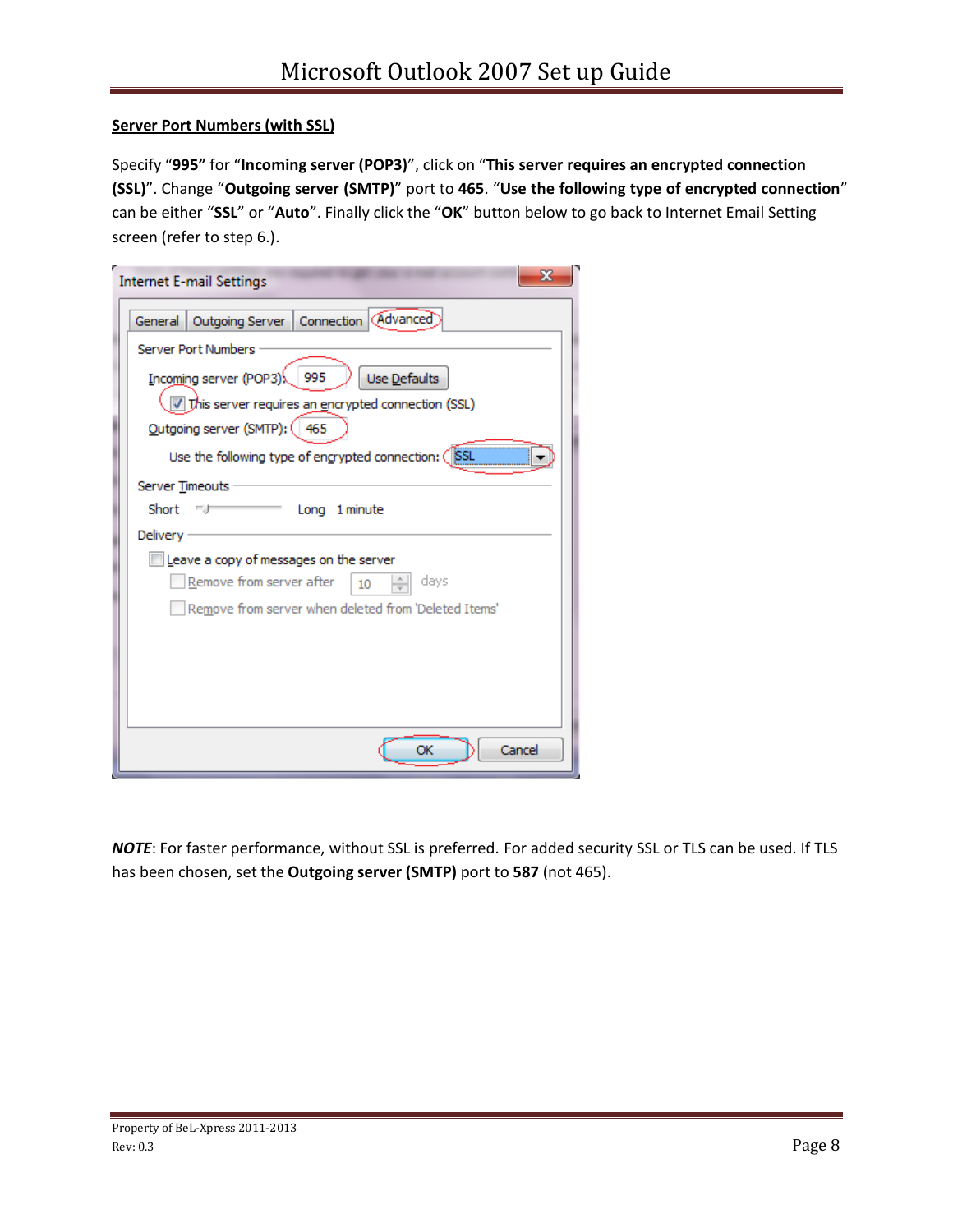### **Server Port Numbers (with SSL)**

Specify "**995"** for "**Incoming server (POP3)**", click on "**This server requires an encrypted connection (SSL)**". Change "**Outgoing server (SMTP)**" port to **465**. "**Use the following type of encrypted connection**" can be either "**SSL**" or "**Auto**". Finally click the "**OK**" button below to go back to Internet Email Setting screen (refer to step 6.).

| x<br><b>Internet E-mail Settings</b>                            |
|-----------------------------------------------------------------|
| Outgoing Server   Connection   (Advanced)<br>General            |
| <b>Server Port Numbers</b>                                      |
| Incoming server (POP3) \[995<br>Use Defaults                    |
| This server requires an encrypted connection (SSL)              |
| Outgoing server (SMTP): (<br>465                                |
| Use the following type of engrypted connection: (<br><b>SSL</b> |
| Server Timeouts                                                 |
| Short<br>Long 1 minute<br>一才                                    |
| Delivery                                                        |
| Leave a copy of messages on the server                          |
| Remove from server after<br>$\frac{1}{\sqrt{2}}$<br>days<br>10  |
| Remove from server when deleted from 'Deleted Items'            |
|                                                                 |
|                                                                 |
|                                                                 |
|                                                                 |
|                                                                 |
| Cancel<br>ОК                                                    |

*NOTE*: For faster performance, without SSL is preferred. For added security SSL or TLS can be used. If TLS has been chosen, set the **Outgoing server (SMTP)** port to **587** (not 465).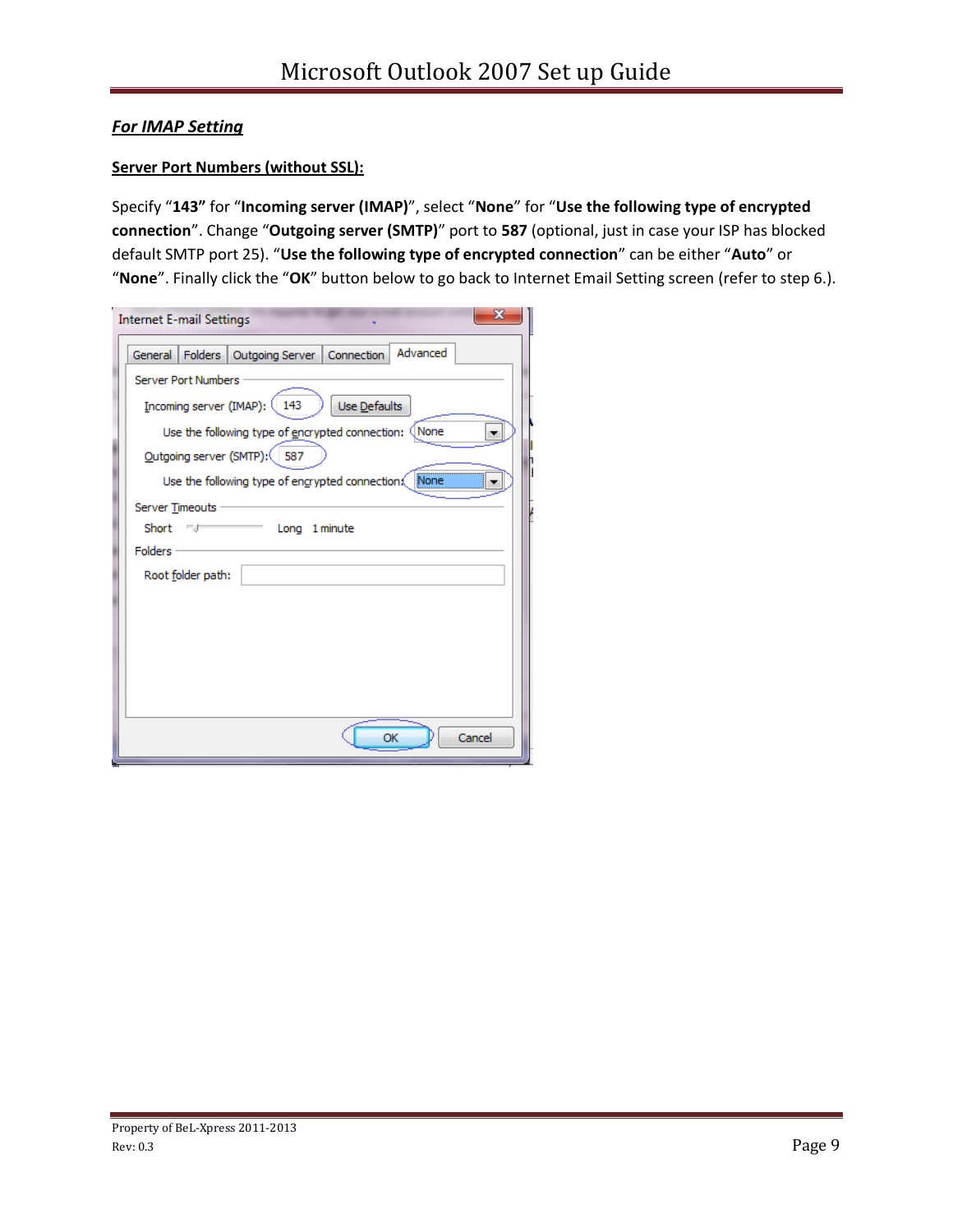## *For IMAP Setting*

### **Server Port Numbers (without SSL):**

Specify "**143"** for "**Incoming server (IMAP)**", select "**None**" for "**Use the following type of encrypted connection**". Change "**Outgoing server (SMTP)**" port to **587** (optional, just in case your ISP has blocked default SMTP port 25). "**Use the following type of encrypted connection**" can be either "**Auto**" or "**None**". Finally click the "**OK**" button below to go back to Internet Email Setting screen (refer to step 6.).

| <b>Internet E-mail Settings</b>                               |
|---------------------------------------------------------------|
| Advanced<br>Folders   Outgoing Server   Connection<br>General |
| <b>Server Port Numbers</b>                                    |
| [ncoming server (IMAP): (<br>143<br>Use Defaults              |
| Use the following type of encrypted connection: (None         |
| Outgoing server (SMTP):<br>587                                |
| None<br>Use the following type of engrypted connection.       |
| Server Timeouts                                               |
| Short<br>1 minute<br>Long<br><b>Folders</b>                   |
| Root folder path:                                             |
|                                                               |
|                                                               |
|                                                               |
|                                                               |
|                                                               |
| Cancel<br>OK                                                  |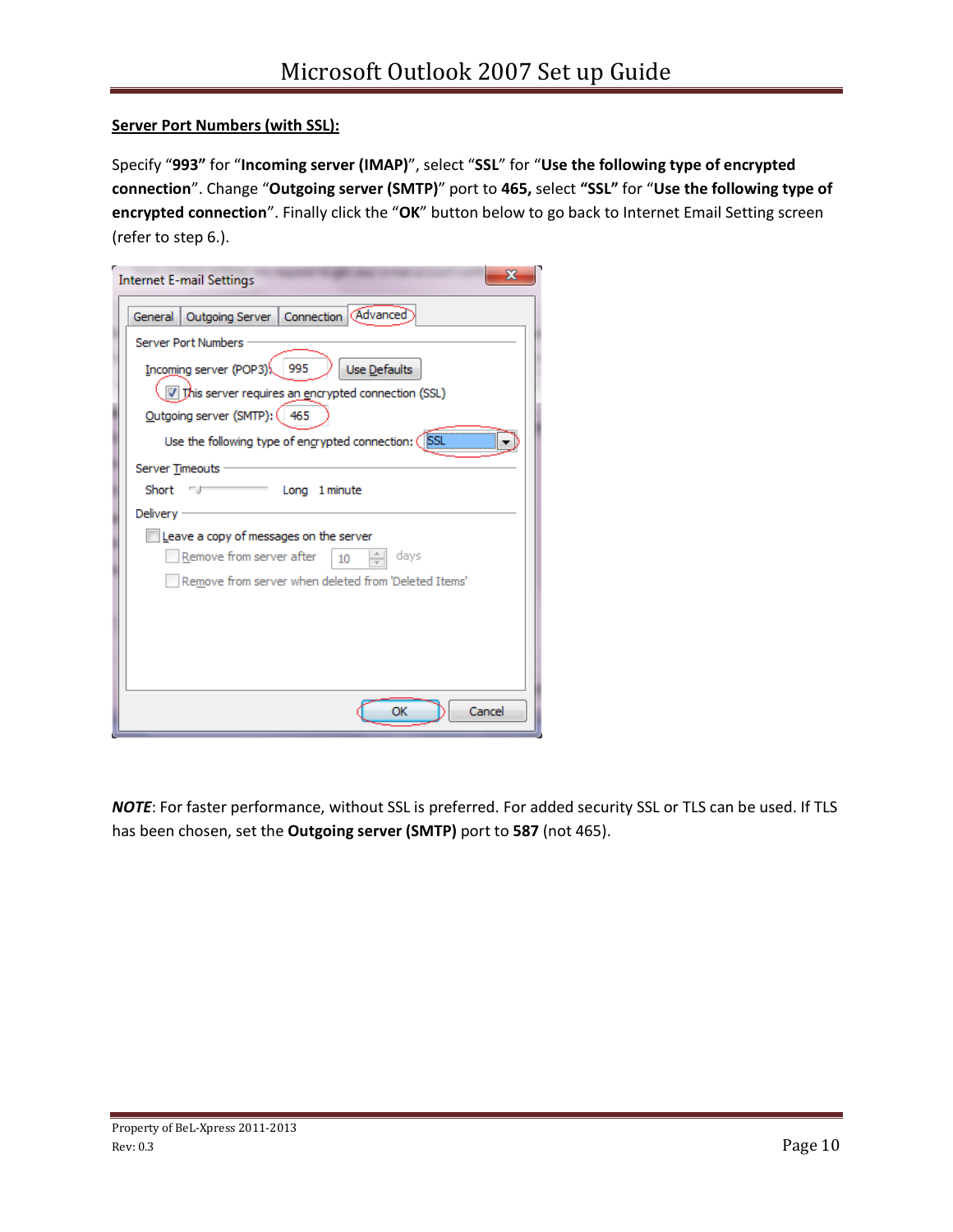### **Server Port Numbers (with SSL):**

Specify "**993"** for "**Incoming server (IMAP)**", select "**SSL**" for "**Use the following type of encrypted connection**". Change "**Outgoing server (SMTP)**" port to **465,** select **"SSL"** for "**Use the following type of encrypted connection**". Finally click the "**OK**" button below to go back to Internet Email Setting screen (refer to step 6.).

| X<br><b>Internet E-mail Settings</b>                     |
|----------------------------------------------------------|
| Outgoing Server   Connection   (Advanced)<br>General     |
| <b>Server Port Numbers</b>                               |
| 995<br>Incoming server (POP3)<br>Use Defaults            |
| 7 This server requires an encrypted connection (SSL)     |
| Qutgoing server (SMTP): (465                             |
| SSL<br>Use the following type of engrypted connection: ( |
| Server Timeouts                                          |
| Short<br>Long 1 minute<br>ma                             |
| Delivery                                                 |
| Leave a copy of messages on the server                   |
| Remove from server after<br>days<br>10                   |
| Remove from server when deleted from 'Deleted Items'     |
|                                                          |
|                                                          |
|                                                          |
|                                                          |
| OK<br>Cancel                                             |

*NOTE*: For faster performance, without SSL is preferred. For added security SSL or TLS can be used. If TLS has been chosen, set the **Outgoing server (SMTP)** port to **587** (not 465).